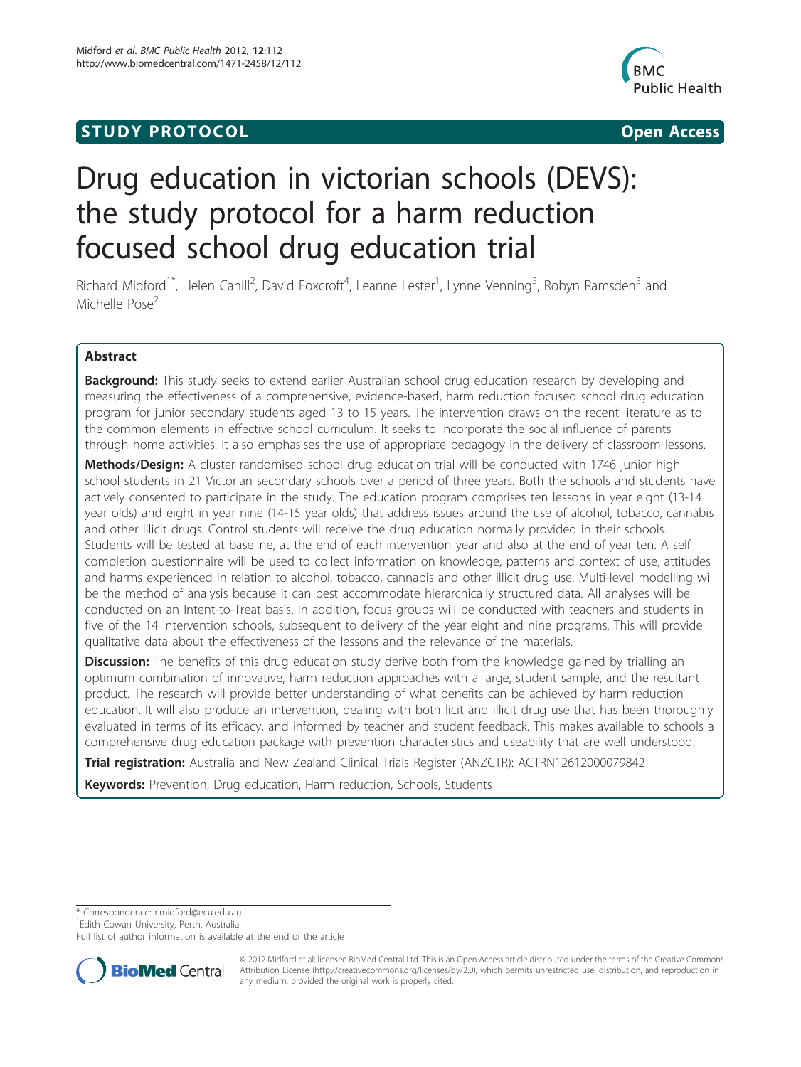# **STUDY PROTOCOL CONSUMING ACCESS**



# Drug education in victorian schools (DEVS): the study protocol for a harm reduction focused school drug education trial

Richard Midford<sup>1\*</sup>, Helen Cahill<sup>2</sup>, David Foxcroft<sup>4</sup>, Leanne Lester<sup>1</sup>, Lynne Venning<sup>3</sup>, Robyn Ramsden<sup>3</sup> and Michelle Pose<sup>2</sup>

# Abstract

**Background:** This study seeks to extend earlier Australian school drug education research by developing and measuring the effectiveness of a comprehensive, evidence-based, harm reduction focused school drug education program for junior secondary students aged 13 to 15 years. The intervention draws on the recent literature as to the common elements in effective school curriculum. It seeks to incorporate the social influence of parents through home activities. It also emphasises the use of appropriate pedagogy in the delivery of classroom lessons.

Methods/Design: A cluster randomised school drug education trial will be conducted with 1746 junior high school students in 21 Victorian secondary schools over a period of three years. Both the schools and students have actively consented to participate in the study. The education program comprises ten lessons in year eight (13-14 year olds) and eight in year nine (14-15 year olds) that address issues around the use of alcohol, tobacco, cannabis and other illicit drugs. Control students will receive the drug education normally provided in their schools. Students will be tested at baseline, at the end of each intervention year and also at the end of year ten. A self completion questionnaire will be used to collect information on knowledge, patterns and context of use, attitudes and harms experienced in relation to alcohol, tobacco, cannabis and other illicit drug use. Multi-level modelling will be the method of analysis because it can best accommodate hierarchically structured data. All analyses will be conducted on an Intent-to-Treat basis. In addition, focus groups will be conducted with teachers and students in five of the 14 intervention schools, subsequent to delivery of the year eight and nine programs. This will provide qualitative data about the effectiveness of the lessons and the relevance of the materials.

**Discussion:** The benefits of this drug education study derive both from the knowledge gained by trialling an optimum combination of innovative, harm reduction approaches with a large, student sample, and the resultant product. The research will provide better understanding of what benefits can be achieved by harm reduction education. It will also produce an intervention, dealing with both licit and illicit drug use that has been thoroughly evaluated in terms of its efficacy, and informed by teacher and student feedback. This makes available to schools a comprehensive drug education package with prevention characteristics and useability that are well understood.

Trial registration: Australia and New Zealand Clinical Trials Register (ANZCTR): [ACTRN12612000079842](http://www.anzctr.org.au/ACTRN12612000079842.aspx)

Keywords: Prevention, Drug education, Harm reduction, Schools, Students

\* Correspondence: [r.midford@ecu.edu.au](mailto:r.midford@ecu.edu.au)

1 Edith Cowan University, Perth, Australia

Full list of author information is available at the end of the article



© 2012 Midford et al; licensee BioMed Central Ltd. This is an Open Access article distributed under the terms of the Creative Commons Attribution License [\(http://creativecommons.org/licenses/by/2.0](http://creativecommons.org/licenses/by/2.0)), which permits unrestricted use, distribution, and reproduction in any medium, provided the original work is properly cited.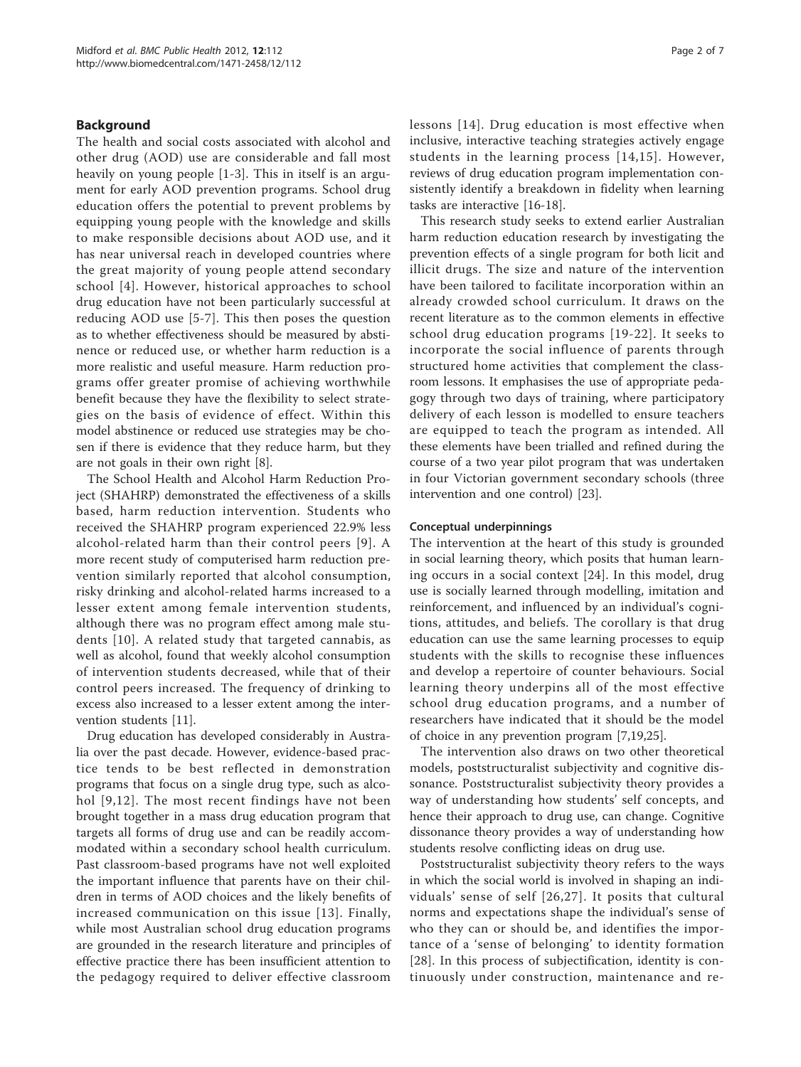# **Background**

The health and social costs associated with alcohol and other drug (AOD) use are considerable and fall most heavily on young people [[1-3](#page-6-0)]. This in itself is an argument for early AOD prevention programs. School drug education offers the potential to prevent problems by equipping young people with the knowledge and skills to make responsible decisions about AOD use, and it has near universal reach in developed countries where the great majority of young people attend secondary school [[4](#page-6-0)]. However, historical approaches to school drug education have not been particularly successful at reducing AOD use [\[5-7](#page-6-0)]. This then poses the question as to whether effectiveness should be measured by abstinence or reduced use, or whether harm reduction is a more realistic and useful measure. Harm reduction programs offer greater promise of achieving worthwhile benefit because they have the flexibility to select strategies on the basis of evidence of effect. Within this model abstinence or reduced use strategies may be chosen if there is evidence that they reduce harm, but they are not goals in their own right [[8\]](#page-6-0).

The School Health and Alcohol Harm Reduction Project (SHAHRP) demonstrated the effectiveness of a skills based, harm reduction intervention. Students who received the SHAHRP program experienced 22.9% less alcohol-related harm than their control peers [[9\]](#page-6-0). A more recent study of computerised harm reduction prevention similarly reported that alcohol consumption, risky drinking and alcohol-related harms increased to a lesser extent among female intervention students, although there was no program effect among male students [[10\]](#page-6-0). A related study that targeted cannabis, as well as alcohol, found that weekly alcohol consumption of intervention students decreased, while that of their control peers increased. The frequency of drinking to excess also increased to a lesser extent among the intervention students [[11\]](#page-6-0).

Drug education has developed considerably in Australia over the past decade. However, evidence-based practice tends to be best reflected in demonstration programs that focus on a single drug type, such as alcohol [[9,12](#page-6-0)]. The most recent findings have not been brought together in a mass drug education program that targets all forms of drug use and can be readily accommodated within a secondary school health curriculum. Past classroom-based programs have not well exploited the important influence that parents have on their children in terms of AOD choices and the likely benefits of increased communication on this issue [[13](#page-6-0)]. Finally, while most Australian school drug education programs are grounded in the research literature and principles of effective practice there has been insufficient attention to the pedagogy required to deliver effective classroom lessons [[14](#page-6-0)]. Drug education is most effective when inclusive, interactive teaching strategies actively engage students in the learning process [[14,15](#page-6-0)]. However, reviews of drug education program implementation consistently identify a breakdown in fidelity when learning tasks are interactive [\[16](#page-6-0)-[18](#page-6-0)].

This research study seeks to extend earlier Australian harm reduction education research by investigating the prevention effects of a single program for both licit and illicit drugs. The size and nature of the intervention have been tailored to facilitate incorporation within an already crowded school curriculum. It draws on the recent literature as to the common elements in effective school drug education programs [[19-22](#page-6-0)]. It seeks to incorporate the social influence of parents through structured home activities that complement the classroom lessons. It emphasises the use of appropriate pedagogy through two days of training, where participatory delivery of each lesson is modelled to ensure teachers are equipped to teach the program as intended. All these elements have been trialled and refined during the course of a two year pilot program that was undertaken in four Victorian government secondary schools (three intervention and one control) [[23](#page-6-0)].

#### Conceptual underpinnings

The intervention at the heart of this study is grounded in social learning theory, which posits that human learning occurs in a social context [[24](#page-6-0)]. In this model, drug use is socially learned through modelling, imitation and reinforcement, and influenced by an individual's cognitions, attitudes, and beliefs. The corollary is that drug education can use the same learning processes to equip students with the skills to recognise these influences and develop a repertoire of counter behaviours. Social learning theory underpins all of the most effective school drug education programs, and a number of researchers have indicated that it should be the model of choice in any prevention program [[7,19,25\]](#page-6-0).

The intervention also draws on two other theoretical models, poststructuralist subjectivity and cognitive dissonance. Poststructuralist subjectivity theory provides a way of understanding how students' self concepts, and hence their approach to drug use, can change. Cognitive dissonance theory provides a way of understanding how students resolve conflicting ideas on drug use.

Poststructuralist subjectivity theory refers to the ways in which the social world is involved in shaping an individuals' sense of self [[26](#page-6-0),[27](#page-6-0)]. It posits that cultural norms and expectations shape the individual's sense of who they can or should be, and identifies the importance of a 'sense of belonging' to identity formation [[28](#page-6-0)]. In this process of subjectification, identity is continuously under construction, maintenance and re-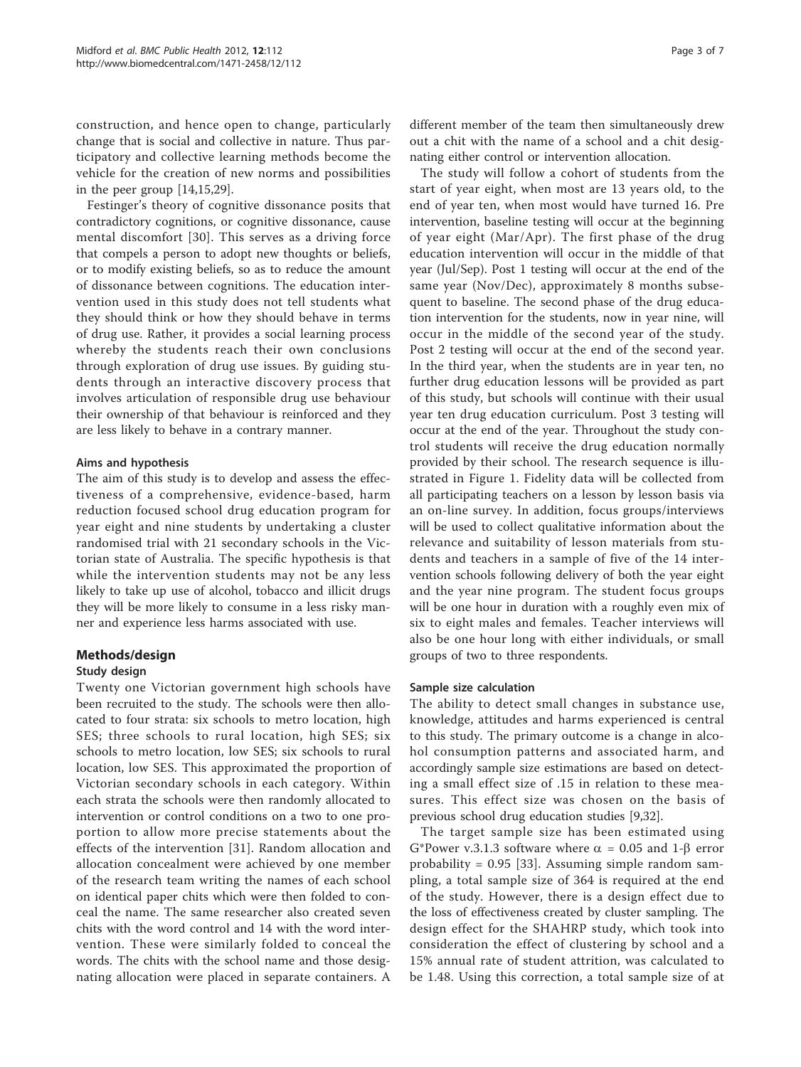construction, and hence open to change, particularly change that is social and collective in nature. Thus participatory and collective learning methods become the vehicle for the creation of new norms and possibilities in the peer group [\[14,15,29\]](#page-6-0).

Festinger's theory of cognitive dissonance posits that contradictory cognitions, or cognitive dissonance, cause mental discomfort [[30](#page-6-0)]. This serves as a driving force that compels a person to adopt new thoughts or beliefs, or to modify existing beliefs, so as to reduce the amount of dissonance between cognitions. The education intervention used in this study does not tell students what they should think or how they should behave in terms of drug use. Rather, it provides a social learning process whereby the students reach their own conclusions through exploration of drug use issues. By guiding students through an interactive discovery process that involves articulation of responsible drug use behaviour their ownership of that behaviour is reinforced and they are less likely to behave in a contrary manner.

## Aims and hypothesis

The aim of this study is to develop and assess the effectiveness of a comprehensive, evidence-based, harm reduction focused school drug education program for year eight and nine students by undertaking a cluster randomised trial with 21 secondary schools in the Victorian state of Australia. The specific hypothesis is that while the intervention students may not be any less likely to take up use of alcohol, tobacco and illicit drugs they will be more likely to consume in a less risky manner and experience less harms associated with use.

# Methods/design

## Study design

Twenty one Victorian government high schools have been recruited to the study. The schools were then allocated to four strata: six schools to metro location, high SES; three schools to rural location, high SES; six schools to metro location, low SES; six schools to rural location, low SES. This approximated the proportion of Victorian secondary schools in each category. Within each strata the schools were then randomly allocated to intervention or control conditions on a two to one proportion to allow more precise statements about the effects of the intervention [\[31](#page-6-0)]. Random allocation and allocation concealment were achieved by one member of the research team writing the names of each school on identical paper chits which were then folded to conceal the name. The same researcher also created seven chits with the word control and 14 with the word intervention. These were similarly folded to conceal the words. The chits with the school name and those designating allocation were placed in separate containers. A

different member of the team then simultaneously drew out a chit with the name of a school and a chit designating either control or intervention allocation.

The study will follow a cohort of students from the start of year eight, when most are 13 years old, to the end of year ten, when most would have turned 16. Pre intervention, baseline testing will occur at the beginning of year eight (Mar/Apr). The first phase of the drug education intervention will occur in the middle of that year (Jul/Sep). Post 1 testing will occur at the end of the same year (Nov/Dec), approximately 8 months subsequent to baseline. The second phase of the drug education intervention for the students, now in year nine, will occur in the middle of the second year of the study. Post 2 testing will occur at the end of the second year. In the third year, when the students are in year ten, no further drug education lessons will be provided as part of this study, but schools will continue with their usual year ten drug education curriculum. Post 3 testing will occur at the end of the year. Throughout the study control students will receive the drug education normally provided by their school. The research sequence is illustrated in Figure [1.](#page-3-0) Fidelity data will be collected from all participating teachers on a lesson by lesson basis via an on-line survey. In addition, focus groups/interviews will be used to collect qualitative information about the relevance and suitability of lesson materials from students and teachers in a sample of five of the 14 intervention schools following delivery of both the year eight and the year nine program. The student focus groups will be one hour in duration with a roughly even mix of six to eight males and females. Teacher interviews will also be one hour long with either individuals, or small groups of two to three respondents.

## Sample size calculation

The ability to detect small changes in substance use, knowledge, attitudes and harms experienced is central to this study. The primary outcome is a change in alcohol consumption patterns and associated harm, and accordingly sample size estimations are based on detecting a small effect size of .15 in relation to these measures. This effect size was chosen on the basis of previous school drug education studies [\[9,32](#page-6-0)].

The target sample size has been estimated using G\*Power v.3.1.3 software where  $\alpha = 0.05$  and 1- $\beta$  error probability = 0.95 [[33\]](#page-6-0). Assuming simple random sampling, a total sample size of 364 is required at the end of the study. However, there is a design effect due to the loss of effectiveness created by cluster sampling. The design effect for the SHAHRP study, which took into consideration the effect of clustering by school and a 15% annual rate of student attrition, was calculated to be 1.48. Using this correction, a total sample size of at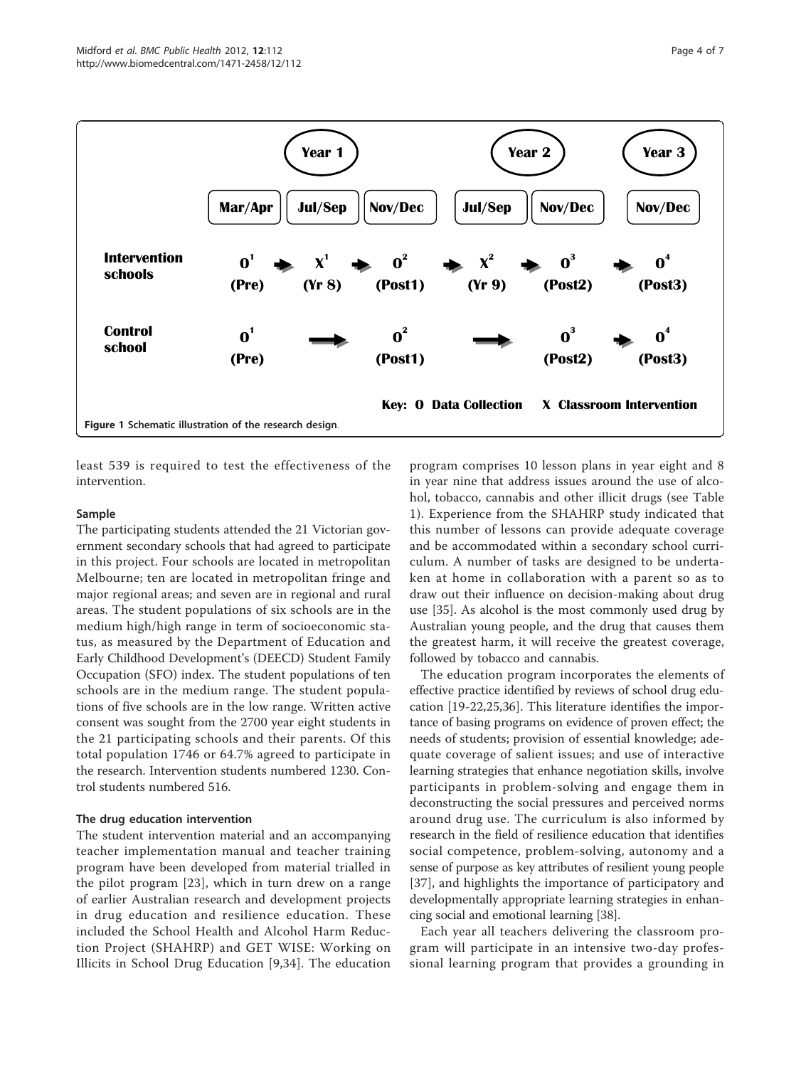<span id="page-3-0"></span>

least 539 is required to test the effectiveness of the intervention.

# Sample

The participating students attended the 21 Victorian government secondary schools that had agreed to participate in this project. Four schools are located in metropolitan Melbourne; ten are located in metropolitan fringe and major regional areas; and seven are in regional and rural areas. The student populations of six schools are in the medium high/high range in term of socioeconomic status, as measured by the Department of Education and Early Childhood Development's (DEECD) Student Family Occupation (SFO) index. The student populations of ten schools are in the medium range. The student populations of five schools are in the low range. Written active consent was sought from the 2700 year eight students in the 21 participating schools and their parents. Of this total population 1746 or 64.7% agreed to participate in the research. Intervention students numbered 1230. Control students numbered 516.

# The drug education intervention

The student intervention material and an accompanying teacher implementation manual and teacher training program have been developed from material trialled in the pilot program [\[23](#page-6-0)], which in turn drew on a range of earlier Australian research and development projects in drug education and resilience education. These included the School Health and Alcohol Harm Reduction Project (SHAHRP) and GET WISE: Working on Illicits in School Drug Education [[9,34\]](#page-6-0). The education

program comprises 10 lesson plans in year eight and 8 in year nine that address issues around the use of alcohol, tobacco, cannabis and other illicit drugs (see Table [1\)](#page-4-0). Experience from the SHAHRP study indicated that this number of lessons can provide adequate coverage and be accommodated within a secondary school curriculum. A number of tasks are designed to be undertaken at home in collaboration with a parent so as to draw out their influence on decision-making about drug use [[35](#page-6-0)]. As alcohol is the most commonly used drug by Australian young people, and the drug that causes them the greatest harm, it will receive the greatest coverage, followed by tobacco and cannabis.

The education program incorporates the elements of effective practice identified by reviews of school drug education [\[19-22,25,36\]](#page-6-0). This literature identifies the importance of basing programs on evidence of proven effect; the needs of students; provision of essential knowledge; adequate coverage of salient issues; and use of interactive learning strategies that enhance negotiation skills, involve participants in problem-solving and engage them in deconstructing the social pressures and perceived norms around drug use. The curriculum is also informed by research in the field of resilience education that identifies social competence, problem-solving, autonomy and a sense of purpose as key attributes of resilient young people [[37](#page-6-0)], and highlights the importance of participatory and developmentally appropriate learning strategies in enhancing social and emotional learning [[38](#page-6-0)].

Each year all teachers delivering the classroom program will participate in an intensive two-day professional learning program that provides a grounding in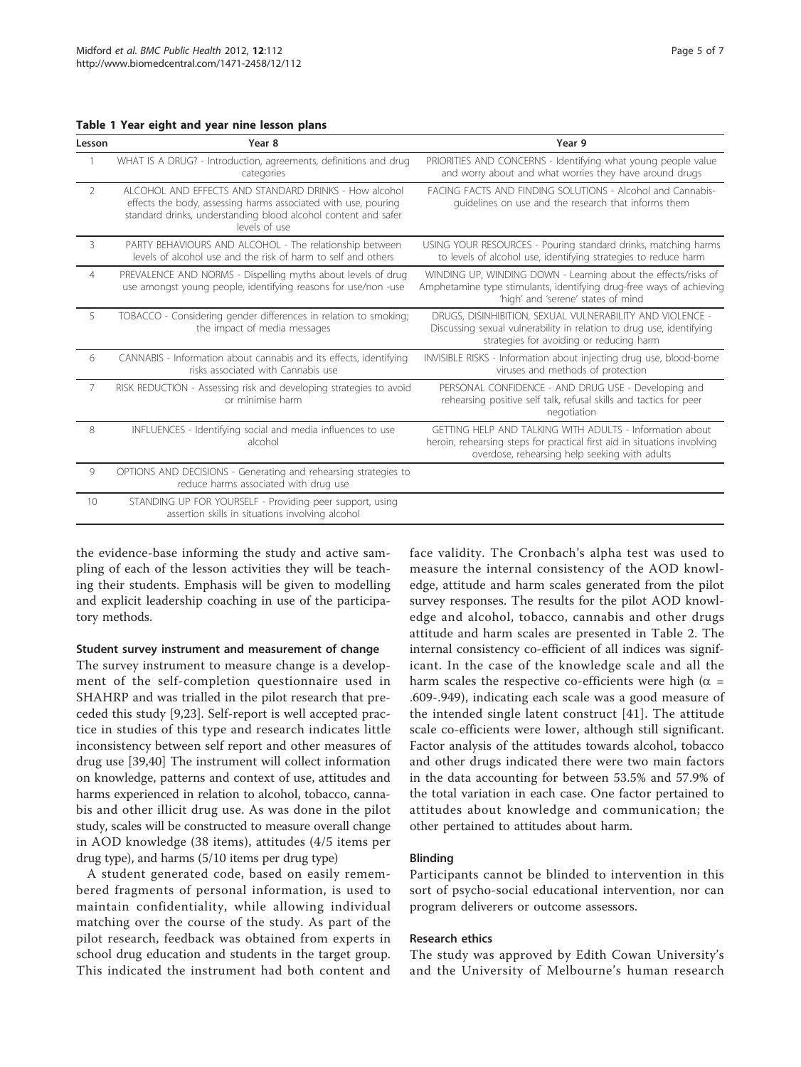<span id="page-4-0"></span>

| Table 1 Year eight and year nine lesson plans |  |  |  |  |  |  |  |
|-----------------------------------------------|--|--|--|--|--|--|--|
|-----------------------------------------------|--|--|--|--|--|--|--|

| Lesson         | Year <sub>8</sub>                                                                                                                                                                                          | Year 9                                                                                                                                                                                |
|----------------|------------------------------------------------------------------------------------------------------------------------------------------------------------------------------------------------------------|---------------------------------------------------------------------------------------------------------------------------------------------------------------------------------------|
|                | WHAT IS A DRUG? - Introduction, agreements, definitions and drug<br>categories                                                                                                                             | PRIORITIES AND CONCERNS - Identifying what young people value<br>and worry about and what worries they have around drugs                                                              |
| $\overline{2}$ | ALCOHOL AND EFFECTS AND STANDARD DRINKS - How alcohol<br>effects the body, assessing harms associated with use, pouring<br>standard drinks, understanding blood alcohol content and safer<br>levels of use | FACING FACTS AND FINDING SOLUTIONS - Alcohol and Cannabis-<br>quidelines on use and the research that informs them                                                                    |
| 3              | PARTY BEHAVIOURS AND ALCOHOL - The relationship between<br>levels of alcohol use and the risk of harm to self and others                                                                                   | USING YOUR RESOURCES - Pouring standard drinks, matching harms<br>to levels of alcohol use, identifying strategies to reduce harm                                                     |
| $\overline{4}$ | PREVALENCE AND NORMS - Dispelling myths about levels of drug<br>use amongst young people, identifying reasons for use/non -use                                                                             | WINDING UP, WINDING DOWN - Learning about the effects/risks of<br>Amphetamine type stimulants, identifying drug-free ways of achieving<br>'high' and 'serene' states of mind          |
| 5              | TOBACCO - Considering gender differences in relation to smoking;<br>the impact of media messages                                                                                                           | DRUGS, DISINHIBITION, SEXUAL VULNERABILITY AND VIOLENCE -<br>Discussing sexual vulnerability in relation to drug use, identifying<br>strategies for avoiding or reducing harm         |
| 6              | CANNABIS - Information about cannabis and its effects, identifying<br>risks associated with Cannabis use                                                                                                   | INVISIBLE RISKS - Information about injecting drug use, blood-borne<br>viruses and methods of protection                                                                              |
| 7              | RISK REDUCTION - Assessing risk and developing strategies to avoid<br>or minimise harm                                                                                                                     | PERSONAL CONFIDENCE - AND DRUG USE - Developing and<br>rehearsing positive self talk, refusal skills and tactics for peer<br>negotiation                                              |
| 8              | INFLUENCES - Identifying social and media influences to use<br>alcohol                                                                                                                                     | GETTING HELP AND TALKING WITH ADULTS - Information about<br>heroin, rehearsing steps for practical first aid in situations involving<br>overdose, rehearsing help seeking with adults |
| 9              | OPTIONS AND DECISIONS - Generating and rehearsing strategies to<br>reduce harms associated with drug use                                                                                                   |                                                                                                                                                                                       |
| 10             | STANDING UP FOR YOURSELF - Providing peer support, using<br>assertion skills in situations involving alcohol                                                                                               |                                                                                                                                                                                       |

the evidence-base informing the study and active sampling of each of the lesson activities they will be teaching their students. Emphasis will be given to modelling and explicit leadership coaching in use of the participatory methods.

#### Student survey instrument and measurement of change

The survey instrument to measure change is a development of the self-completion questionnaire used in SHAHRP and was trialled in the pilot research that preceded this study [\[9](#page-6-0),[23](#page-6-0)]. Self-report is well accepted practice in studies of this type and research indicates little inconsistency between self report and other measures of drug use [\[39](#page-6-0),[40](#page-6-0)] The instrument will collect information on knowledge, patterns and context of use, attitudes and harms experienced in relation to alcohol, tobacco, cannabis and other illicit drug use. As was done in the pilot study, scales will be constructed to measure overall change in AOD knowledge (38 items), attitudes (4/5 items per drug type), and harms (5/10 items per drug type)

A student generated code, based on easily remembered fragments of personal information, is used to maintain confidentiality, while allowing individual matching over the course of the study. As part of the pilot research, feedback was obtained from experts in school drug education and students in the target group. This indicated the instrument had both content and face validity. The Cronbach's alpha test was used to measure the internal consistency of the AOD knowledge, attitude and harm scales generated from the pilot survey responses. The results for the pilot AOD knowledge and alcohol, tobacco, cannabis and other drugs attitude and harm scales are presented in Table [2](#page-5-0). The internal consistency co-efficient of all indices was significant. In the case of the knowledge scale and all the harm scales the respective co-efficients were high ( $\alpha$  = .609-.949), indicating each scale was a good measure of the intended single latent construct [[41](#page-6-0)]. The attitude scale co-efficients were lower, although still significant. Factor analysis of the attitudes towards alcohol, tobacco and other drugs indicated there were two main factors in the data accounting for between 53.5% and 57.9% of the total variation in each case. One factor pertained to attitudes about knowledge and communication; the other pertained to attitudes about harm.

## Blinding

Participants cannot be blinded to intervention in this sort of psycho-social educational intervention, nor can program deliverers or outcome assessors.

# Research ethics

The study was approved by Edith Cowan University's and the University of Melbourne's human research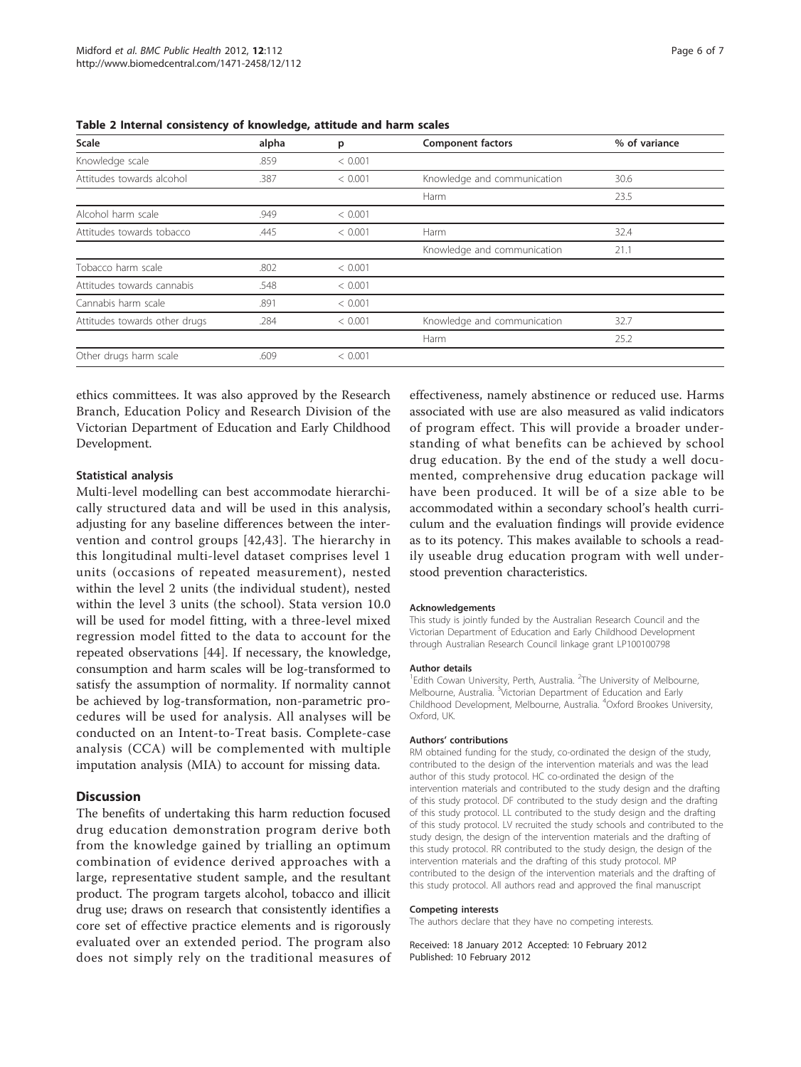| Scale                         | alpha | p       | <b>Component factors</b>    | % of variance |
|-------------------------------|-------|---------|-----------------------------|---------------|
| Knowledge scale               | .859  | < 0.001 |                             |               |
| Attitudes towards alcohol     | .387  | < 0.001 | Knowledge and communication | 30.6          |
|                               |       |         | <b>Harm</b>                 | 23.5          |
| Alcohol harm scale            | .949  | < 0.001 |                             |               |
| Attitudes towards tobacco     | .445  | < 0.001 | <b>Harm</b>                 | 32.4          |
|                               |       |         | Knowledge and communication | 21.1          |
| Tobacco harm scale            | .802  | < 0.001 |                             |               |
| Attitudes towards cannabis    | .548  | < 0.001 |                             |               |
| Cannabis harm scale           | .891  | < 0.001 |                             |               |
| Attitudes towards other drugs | .284  | < 0.001 | Knowledge and communication | 32.7          |
|                               |       |         | <b>Harm</b>                 | 25.2          |
| Other drugs harm scale        | .609  | < 0.001 |                             |               |

<span id="page-5-0"></span>Table 2 Internal consistency of knowledge, attitude and harm scales

ethics committees. It was also approved by the Research Branch, Education Policy and Research Division of the Victorian Department of Education and Early Childhood Development.

## Statistical analysis

Multi-level modelling can best accommodate hierarchically structured data and will be used in this analysis, adjusting for any baseline differences between the intervention and control groups [\[42,43\]](#page-6-0). The hierarchy in this longitudinal multi-level dataset comprises level 1 units (occasions of repeated measurement), nested within the level 2 units (the individual student), nested within the level 3 units (the school). Stata version 10.0 will be used for model fitting, with a three-level mixed regression model fitted to the data to account for the repeated observations [\[44](#page-6-0)]. If necessary, the knowledge, consumption and harm scales will be log-transformed to satisfy the assumption of normality. If normality cannot be achieved by log-transformation, non-parametric procedures will be used for analysis. All analyses will be conducted on an Intent-to-Treat basis. Complete-case analysis (CCA) will be complemented with multiple imputation analysis (MIA) to account for missing data.

# **Discussion**

The benefits of undertaking this harm reduction focused drug education demonstration program derive both from the knowledge gained by trialling an optimum combination of evidence derived approaches with a large, representative student sample, and the resultant product. The program targets alcohol, tobacco and illicit drug use; draws on research that consistently identifies a core set of effective practice elements and is rigorously evaluated over an extended period. The program also does not simply rely on the traditional measures of effectiveness, namely abstinence or reduced use. Harms associated with use are also measured as valid indicators of program effect. This will provide a broader understanding of what benefits can be achieved by school drug education. By the end of the study a well documented, comprehensive drug education package will have been produced. It will be of a size able to be accommodated within a secondary school's health curriculum and the evaluation findings will provide evidence as to its potency. This makes available to schools a readily useable drug education program with well understood prevention characteristics.

#### Acknowledgements

This study is jointly funded by the Australian Research Council and the Victorian Department of Education and Early Childhood Development through Australian Research Council linkage grant LP100100798

#### Author details

<sup>1</sup>Edith Cowan University, Perth, Australia. <sup>2</sup>The University of Melbourne, Melbourne, Australia. <sup>3</sup>Victorian Department of Education and Early Childhood Development, Melbourne, Australia. <sup>4</sup>Oxford Brookes University, Oxford, UK.

#### Authors' contributions

RM obtained funding for the study, co-ordinated the design of the study, contributed to the design of the intervention materials and was the lead author of this study protocol. HC co-ordinated the design of the intervention materials and contributed to the study design and the drafting of this study protocol. DF contributed to the study design and the drafting of this study protocol. LL contributed to the study design and the drafting of this study protocol. LV recruited the study schools and contributed to the study design, the design of the intervention materials and the drafting of this study protocol. RR contributed to the study design, the design of the intervention materials and the drafting of this study protocol. MP contributed to the design of the intervention materials and the drafting of this study protocol. All authors read and approved the final manuscript

#### Competing interests

The authors declare that they have no competing interests.

Received: 18 January 2012 Accepted: 10 February 2012 Published: 10 February 2012